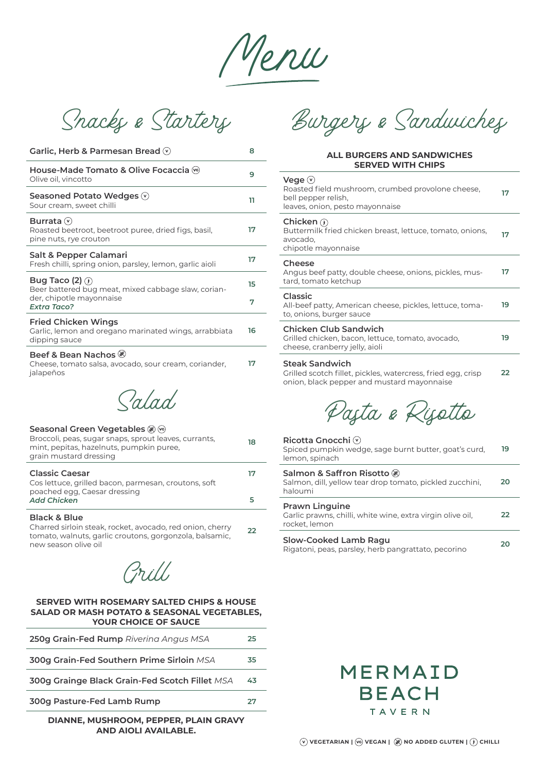Menu

Snacks & Starters

| Garlic, Herb & Parmesan Bread $\heartsuit$                                                                                    | 8       |
|-------------------------------------------------------------------------------------------------------------------------------|---------|
| House-Made Tomato & Olive Focaccia ↔<br>Olive oil, vincotto                                                                   | 9       |
| Seasoned Potato Wedges (v)<br>Sour cream, sweet chilli                                                                        | 11      |
| Burrata $(v)$<br>Roasted beetroot, beetroot puree, dried figs, basil,<br>pine nuts, rye crouton                               | 17      |
| Salt & Pepper Calamari<br>Fresh chilli, spring onion, parsley, lemon, garlic aioli                                            | 17      |
| Bug Taco (2) $\odot$<br>Beer battered bug meat, mixed cabbage slaw, corian-<br>der, chipotle mayonnaise<br><b>Extra Taco?</b> | 15<br>7 |
| <b>Fried Chicken Wings</b><br>Garlic, lemon and oregano marinated wings, arrabbiata<br>dipping sauce                          | 16      |
| Beef & Bean Nachos<br>Cheese, tomato salsa, avocado, sour cream, coriander,<br>jalapeños                                      | 17      |
| $\sqrt{a}/a$                                                                                                                  |         |

| Seasonal Green Vegetables (*)<br>Broccoli, peas, sugar snaps, sprout leaves, currants,<br>mint, pepitas, hazelnuts, pumpkin puree,<br>grain mustard dressing | 18 |
|--------------------------------------------------------------------------------------------------------------------------------------------------------------|----|
| <b>Classic Caesar</b><br>Cos lettuce, grilled bacon, parmesan, croutons, soft                                                                                |    |
| poached egg, Caesar dressing<br><b>Add Chicken</b>                                                                                                           |    |

## **Black & Blue**

Charred sirloin steak, rocket, avocado, red onion, cherry tomato, walnuts, garlic croutons, gorgonzola, balsamic, new season olive oil **22**

Grill

## **SERVED WITH ROSEMARY SALTED CHIPS & HOUSE SALAD OR MASH POTATO & SEASONAL VEGETABLES, YOUR CHOICE OF SAUCE**

| 250g Grain-Fed Rump Rivering Angus MSA         | 25 |
|------------------------------------------------|----|
| 300g Grain-Fed Southern Prime Sirloin MSA      | 35 |
| 300g Grainge Black Grain-Fed Scotch Fillet MSA | 43 |
| 300g Pasture-Fed Lamb Rump                     | フワ |
|                                                |    |

**DIANNE, MUSHROOM, PEPPER, PLAIN GRAVY AND AIOLI AVAILABLE.**

Burgers & Sandwiches

## **ALL BURGERS AND SANDWICHES SERVED WITH CHIPS**

| Vege $(v)$<br>Roasted field mushroom, crumbed provolone cheese,<br>bell pepper relish,<br>leaves, onion, pesto mayonnaise           | 17 |
|-------------------------------------------------------------------------------------------------------------------------------------|----|
| Chicken $\odot$<br>Buttermilk fried chicken breast, lettuce, tomato, onions,<br>avocado,<br>chipotle mayonnaise                     | 17 |
| Cheese<br>Angus beef patty, double cheese, onions, pickles, mus-<br>tard, tomato ketchup                                            | 17 |
| Classic<br>All-beef patty, American cheese, pickles, lettuce, toma-<br>to, onions, burger sauce                                     | 19 |
| Chicken Club Sandwich<br>Grilled chicken, bacon, lettuce, tomato, avocado,<br>cheese, cranberry jelly, aioli                        | 19 |
| <b>Steak Sandwich</b><br>Grilled scotch fillet, pickles, watercress, fried egg, crisp<br>onion, black pepper and mustard mayonnaise | 22 |
| Paşta e Rişette                                                                                                                     |    |
| Ricotta Gnocchi $\heartsuit$<br>Spiced pumpkin wedge, sage burnt butter, goat's curd,<br>lemon, spinach                             | 19 |
| Salmon & Saffron Risotto ®<br>Salmon, dill, yellow tear drop tomato, pickled zucchini,<br>haloumi                                   | 20 |
| <b>Prawn Linguine</b><br>Garlic prawns, chilli, white wine, extra virgin olive oil,<br>rocket, lemon                                | 22 |
| <b>Slow-Cooked Lamb Ragu</b><br>Rigatoni, peas, parsley, herb pangrattato, pecorino                                                 | 20 |